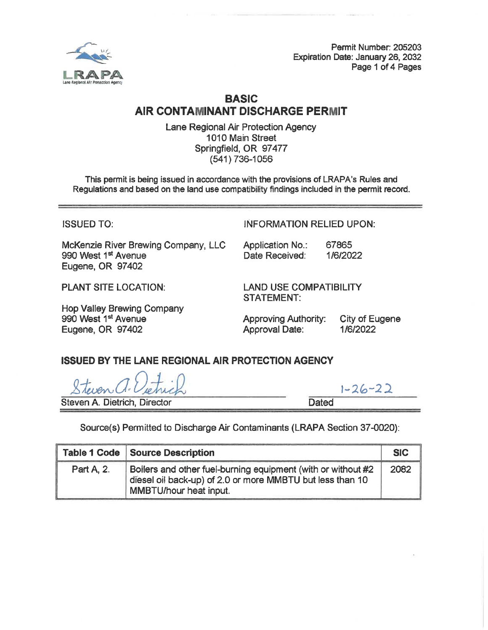

# **BASIC AIR CONTAMINANT DISCHARGE PERMIT**

Lane Regional Air Protection Agency 1010 Main Street Springfield, OR 97477 (541) 736-1056

This permit is being issued in accordance with the provisions of LRAPA's Rules and Regulations and based on the land use compatibility findings included in the permit record.

McKenzie River Brewing Company, LLC Application No.: 67865 990 West 1<sup>st</sup> Avenue **State Australian Control** Date Received: 1/6/2022 Eugene, OR 97402

Hop Valley Brewing Company Eugene, OR 97402 **Approval Date:** 1/6/2020

ISSUED TO: INFORMATION RELIED UPON:

PLANT SITE LOCATION: LAND USE COMPATIBILITY STATEMENT:

990 West 1<sup>st</sup> Avenue **Approving Authority:** City of Eugene<br>
Eugene OR 97402 **Approving Authority:** 1/6/2022

#### **ISSUED BY THE LANE REGIONAL AIR PROTECTION AGENCY**

Steven A. Dietrich, Director **Dated** 

 $1 - 26 - 22$ 

Source(s) Permitted to Discharge Air Contaminants (LRAPA Section 37-0020):

|                   | Table 1 Code Source Description                                                                                                                     | <b>SIC</b> |
|-------------------|-----------------------------------------------------------------------------------------------------------------------------------------------------|------------|
| <b>Part A, 2.</b> | Boilers and other fuel-burning equipment (with or without #2<br>diesel oil back-up) of 2.0 or more MMBTU but less than 10<br>MMBTU/hour heat input. | 2082       |

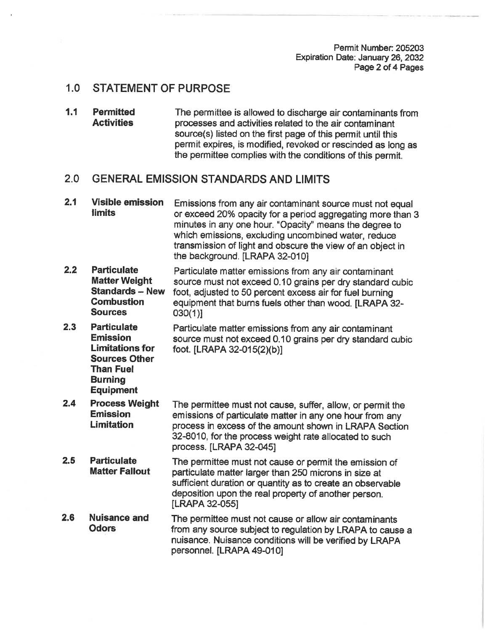Pennit Number: 205203 Expiration Date: January 26, 2032 Page 2 of 4 Pages

# 1.0 STATEMENT OF PURPOSE

**1.1 Permitted Activities**  The permittee is allowed to discharge air contaminants from processes and activities related to the air contaminant source(s) listed on the first page of this permit until this permit expires, is modified, revoked or rescinded as long as the permittee complies with the conditions of this permit.

#### 2.0 GENERAL EMISSION STANDARDS AND LIMITS

- **2.1 Visible emission limits** Emissions from any air contaminant source must not equal or exceed 20% opacity for a period aggregating more than 3 minutes in any one hour. "Opacity" means the degree to which emissions, excluding uncombined water, reduce transmission of light and obscure the view of an object in the background. [LRAPA 32-010]
- 2.2 **Particulate Matter Weight Standards** - **New Combustion Sources**  Particulate matter emissions from any air contaminant source must not exceed 0.10 grains per dry standard cubic foot, adjusted to 50 percent excess air for fuel burning equipment that burns fuels other than wood. [LRAPA 32-  $030(1)$ ]
- 2.3 **Particulate Emission Limitations for Sources Other**  Particulate matter emissions from any air contaminant source must not exceed 0.10 grains per dry standard cubic foot. [LRAPA 32-015(2)(b)]
	- **Than Fuel Burning Equipment**
- 2.4 **Process Weight Emission Limitation**  The permittee must not cause, suffer, allow, or permit the emissions of particulate matter in any one hour from any process in excess of the amount shown in LRAPA Section 32-8010, for the process weight rate allocated to such process. [LRAPA 32-045]
- **2.5 Particulate Matter Fallout**  The permittee must not cause or permit the emission of particulate matter larger than 250 microns in size at sufficient duration or quantity as to create an observable deposition upon the real property of another person. [LRAPA 32-055]
- **2.6 Nuisance and Odors**  The permittee must not cause or allow air contaminants from any source subject to regulation by LRAPA to cause a nuisance. Nuisance conditions will be verified by LRAPA personnel. [LRAPA 49-010]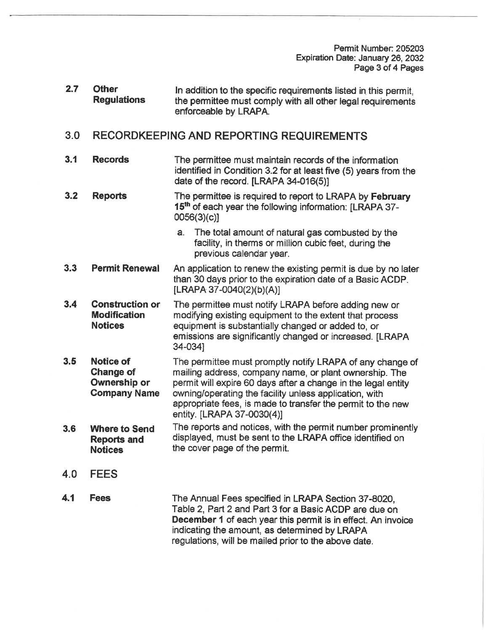Pennit Number: 205203 Expiration Date: January 26, 2032 Page 3 of 4 Pages

| 2.7 | <b>Other</b><br><b>Regulations</b>                                          | In addition to the specific requirements listed in this permit.<br>the permittee must comply with all other legal requirements<br>enforceable by LRAPA.                                                                                                                                                                                     |
|-----|-----------------------------------------------------------------------------|---------------------------------------------------------------------------------------------------------------------------------------------------------------------------------------------------------------------------------------------------------------------------------------------------------------------------------------------|
| 3.0 |                                                                             | RECORDKEEPING AND REPORTING REQUIREMENTS                                                                                                                                                                                                                                                                                                    |
| 3.1 | <b>Records</b>                                                              | The permittee must maintain records of the information<br>identified in Condition 3.2 for at least five (5) years from the<br>date of the record. [LRAPA 34-016(5)]                                                                                                                                                                         |
| 3.2 | <b>Reports</b>                                                              | The permittee is required to report to LRAPA by February<br>15 <sup>th</sup> of each year the following information: [LRAPA 37-<br>0056(3)(c)                                                                                                                                                                                               |
|     |                                                                             | The total amount of natural gas combusted by the<br>a.<br>facility, in therms or million cubic feet, during the<br>previous calendar year.                                                                                                                                                                                                  |
| 3.3 | <b>Permit Renewal</b>                                                       | An application to renew the existing permit is due by no later<br>than 30 days prior to the expiration date of a Basic ACDP.<br>[LRAPA 37-0040(2)(b)(A)]                                                                                                                                                                                    |
| 3.4 | <b>Construction or</b><br><b>Modification</b><br><b>Notices</b>             | The permittee must notify LRAPA before adding new or<br>modifying existing equipment to the extent that process<br>equipment is substantially changed or added to, or<br>emissions are significantly changed or increased. [LRAPA<br>34-0341                                                                                                |
| 3.5 | <b>Notice of</b><br><b>Change of</b><br>Ownership or<br><b>Company Name</b> | The permittee must promptly notify LRAPA of any change of<br>mailing address, company name, or plant ownership. The<br>permit will expire 60 days after a change in the legal entity<br>owning/operating the facility unless application, with<br>appropriate fees, is made to transfer the permit to the new<br>entity. [LRAPA 37-0030(4)] |
| 3.6 | <b>Where to Send</b><br><b>Reports and</b><br><b>Notices</b>                | The reports and notices, with the permit number prominently<br>displayed, must be sent to the LRAPA office identified on<br>the cover page of the permit.                                                                                                                                                                                   |
| 4.0 | <b>FEES</b>                                                                 |                                                                                                                                                                                                                                                                                                                                             |
| 4.1 | <b>Fees</b>                                                                 | The Annual Fees specified in LRAPA Section 37-8020,<br>Table 2, Part 2 and Part 3 for a Basic ACDP are due on<br><b>December 1</b> of each year this permit is in effect. An invoice<br>indicating the amount, as determined by LRAPA                                                                                                       |

regulations, will be mailed prior to the above date.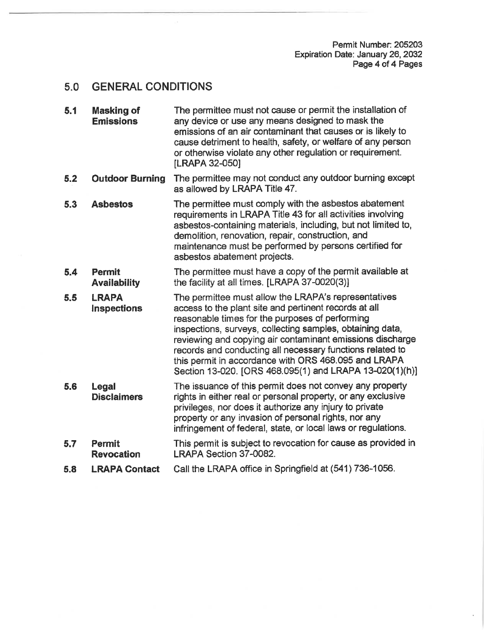# 5.0 GENERAL CONDITIONS

| 5.1 | <b>Masking of</b><br><b>Emissions</b> | The permittee must not cause or permit the installation of<br>any device or use any means designed to mask the<br>emissions of an air contaminant that causes or is likely to<br>cause detriment to health, safety, or welfare of any person<br>or otherwise violate any other regulation or requirement.<br>[LRAPA 32-050]                                                                                     |
|-----|---------------------------------------|-----------------------------------------------------------------------------------------------------------------------------------------------------------------------------------------------------------------------------------------------------------------------------------------------------------------------------------------------------------------------------------------------------------------|
| 5.2 | <b>Outdoor Burning</b>                | The permittee may not conduct any outdoor burning except<br>as allowed by LRAPA Title 47.                                                                                                                                                                                                                                                                                                                       |
| 5.3 | <b>Asbestos</b>                       | The permittee must comply with the asbestos abatement<br>requirements in LRAPA Title 43 for all activities involving<br>asbestos-containing materials, including, but not limited to,<br>demolition, renovation, repair, construction, and<br>maintenance must be performed by persons certified for<br>asbestos abatement projects.                                                                            |
| 5.4 | <b>Permit</b><br><b>Availability</b>  | The permittee must have a copy of the permit available at<br>the facility at all times. [LRAPA 37-0020(3)]                                                                                                                                                                                                                                                                                                      |
| 5.5 | <b>LRAPA</b><br>Inspections           | The permittee must allow the LRAPA's representatives<br>access to the plant site and pertinent records at all<br>reasonable times for the purposes of performing<br>inspections, surveys, collecting samples, obtaining data,<br>reviewing and copying air contaminant emissions discharge<br>records and conducting all necessary functions related to<br>this permit in accordance with ORS 468.095 and LRAPA |

Section 13-020. [ORS 468.095(1) and LRAPA 13-020(1)(h)]

privileges, nor does it authorize any injury to private property or any invasion of personal rights, nor any

infringement of federal, state, or local laws or regulations.

**5.8 LRAPA Contact** Call the LRAPA office in Springfield at ( 541) 736-1056.

**Revocation** LRAPA Section 37-0082.

**5.7 Permit This permit is subject to revocation for cause as provided in** 

**5.6 Legal** The issuance of this permit does not convey any property

**Disclaimers** rights in either real or personal property, or any exclusive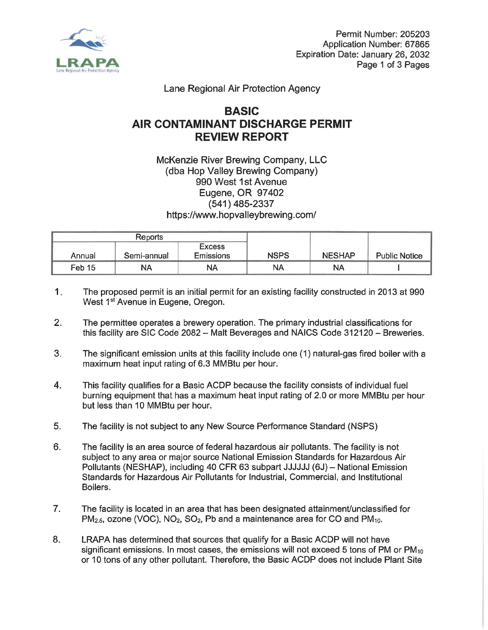

Lane Regional Air Protection Agency

# **BASIC AIR CONTAMINANT DISCHARGE PERMIT REVIEW REPORT**

McKenzie River Brewing Company, LLC (dba Hop Valley Brewing Company) 990 West 1st Avenue Eugene, OR 97402 (541) 485-2337 https://www.hopvalleybrewing.com/

| <b>Reports</b> |             |                            |             |               |                      |  |
|----------------|-------------|----------------------------|-------------|---------------|----------------------|--|
| Annual         | Semi-annual | <b>Excess</b><br>Emissions | <b>NSPS</b> | <b>NESHAP</b> | <b>Public Notice</b> |  |
| Feb 15         | NA          | NA                         | NA          | NA            |                      |  |

- 1. The proposed permit is an initial permit for an existing facility constructed in 2013 at 990 West 1<sup>st</sup> Avenue in Eugene, Oregon.
- 2. The permittee operates a brewery operation. The primary industrial classifications for this facility are SIC Code 2082 - Malt Beverages and NAICS Code 312120 - Breweries.
- 3. The significant emission units at this facility include one (1) natural-gas fired boiler with a maximum heat input rating of 6.3 MM Btu per hour.
- 4. This facility qualifies for a Basic ACDP because the facility consists of individual fuel burning equipment that has a maximum heat input rating of 2.0 or more MMBtu per hour but less than 10 MMBtu per hour.
- 5. The facility is not subject to any New Source Performance Standard (NSPS)
- 6. The facility is an area source of federal hazardous air pollutants. The facility is not subject to any area or major source National Emission Standards for Hazardous Air Pollutants (NESHAP), including 40 CFR 63 subpart JJJJJJ (6J) - National Emission Standards for Hazardous Air Pollutants for Industrial, Commercial, and Institutional Boilers.
- 7. The facility is located in an area that has been designated attainment/unclassified for  $PM_{2.5}$ , ozone (VOC), NO<sub>2</sub>, SO<sub>2</sub>, Pb and a maintenance area for CO and  $PM_{10}$ .
- 8. LRAPA has determined that sources that qualify for a Basic ACDP will not have significant emissions. In most cases, the emissions will not exceed 5 tons of PM or  $PM_{10}$ or 10 tons of any other pollutant. Therefore, the Basic ACDP does not include Plant Site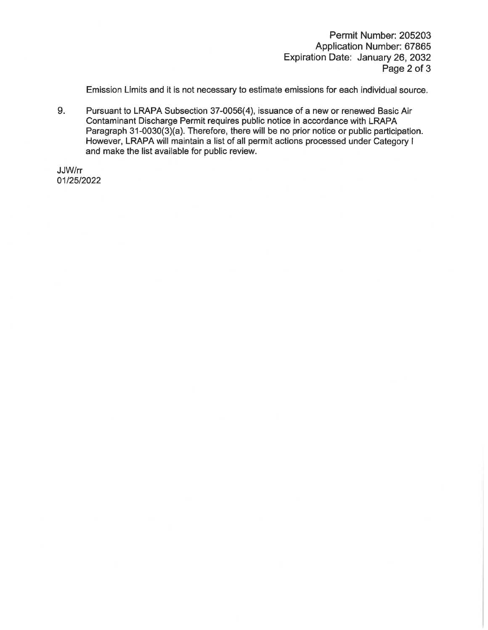Permit Number: 205203 Application Number: 67865 Expiration Date: January 26, 2032 Page 2 of 3

Emission Limits and it is not necessary to estimate emissions for each individual source.

9. Pursuant to LRAPA Subsection 37-0056(4), issuance of a new or renewed Basic Air Contaminant Discharge Permit requires public notice in accordance with LRAPA Paragraph 31-0030(3)(a). Therefore, there will be no prior notice or public participation. However, LRAPA will maintain a list of all permit actions processed under Category I and make the list available for public review.

JJW/rr 01/25/2022